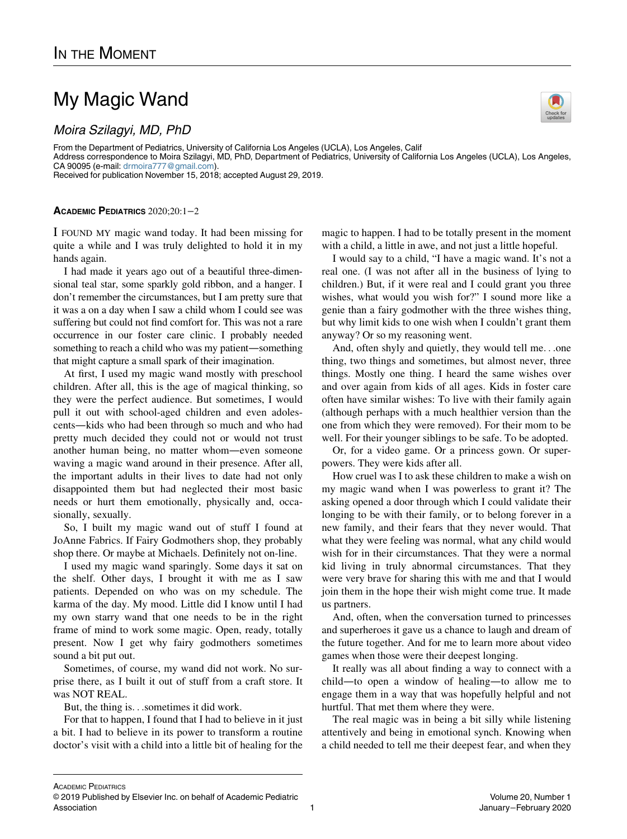## My Magic Wand

From the Department of Pediatrics, University of California Los Angeles (UCLA), Los Angeles, Calif Address correspondence to Moira Szilagyi, MD, PhD, Department of Pediatrics, University of California Los Angeles (UCLA), Los Angeles, CA 90095 (e-mail: [drmoira777@gmail.com\)](mailto:drmoira777@gmail.com). Received for publication November 15, 2018; accepted August 29, 2019.

## ACADEMIC PEDIATRICS 2020;20:1−2

I FOUND MY magic wand today. It had been missing for quite a while and I was truly delighted to hold it in my hands again.

I had made it years ago out of a beautiful three-dimensional teal star, some sparkly gold ribbon, and a hanger. I don't remember the circumstances, but I am pretty sure that it was a on a day when I saw a child whom I could see was suffering but could not find comfort for. This was not a rare occurrence in our foster care clinic. I probably needed something to reach a child who was my patient—something that might capture a small spark of their imagination.

At first, I used my magic wand mostly with preschool children. After all, this is the age of magical thinking, so they were the perfect audience. But sometimes, I would pull it out with school-aged children and even adolescents—kids who had been through so much and who had pretty much decided they could not or would not trust another human being, no matter whom—even someone waving a magic wand around in their presence. After all, the important adults in their lives to date had not only disappointed them but had neglected their most basic needs or hurt them emotionally, physically and, occasionally, sexually.

So, I built my magic wand out of stuff I found at JoAnne Fabrics. If Fairy Godmothers shop, they probably shop there. Or maybe at Michaels. Definitely not on-line.

I used my magic wand sparingly. Some days it sat on the shelf. Other days, I brought it with me as I saw patients. Depended on who was on my schedule. The karma of the day. My mood. Little did I know until I had my own starry wand that one needs to be in the right frame of mind to work some magic. Open, ready, totally present. Now I get why fairy godmothers sometimes sound a bit put out.

Sometimes, of course, my wand did not work. No surprise there, as I built it out of stuff from a craft store. It was NOT REAL.

But, the thing is...sometimes it did work.

For that to happen, I found that I had to believe in it just a bit. I had to believe in its power to transform a routine doctor's visit with a child into a little bit of healing for the magic to happen. I had to be totally present in the moment with a child, a little in awe, and not just a little hopeful.

I would say to a child, "I have a magic wand. It's not a real one. (I was not after all in the business of lying to children.) But, if it were real and I could grant you three wishes, what would you wish for?" I sound more like a genie than a fairy godmother with the three wishes thing, but why limit kids to one wish when I couldn't grant them anyway? Or so my reasoning went.

And, often shyly and quietly, they would tell me...one thing, two things and sometimes, but almost never, three things. Mostly one thing. I heard the same wishes over and over again from kids of all ages. Kids in foster care often have similar wishes: To live with their family again (although perhaps with a much healthier version than the one from which they were removed). For their mom to be well. For their younger siblings to be safe. To be adopted.

Or, for a video game. Or a princess gown. Or superpowers. They were kids after all.

How cruel was I to ask these children to make a wish on my magic wand when I was powerless to grant it? The asking opened a door through which I could validate their longing to be with their family, or to belong forever in a new family, and their fears that they never would. That what they were feeling was normal, what any child would wish for in their circumstances. That they were a normal kid living in truly abnormal circumstances. That they were very brave for sharing this with me and that I would join them in the hope their wish might come true. It made us partners.

And, often, when the conversation turned to princesses and superheroes it gave us a chance to laugh and dream of the future together. And for me to learn more about video games when those were their deepest longing.

It really was all about finding a way to connect with a child—to open a window of healing—to allow me to engage them in a way that was hopefully helpful and not hurtful. That met them where they were.

The real magic was in being a bit silly while listening attentively and being in emotional synch. Knowing when a child needed to tell me their deepest fear, and when they

ACADEMIC PEDIATRICS

© 2019 Published by Elsevier Inc. on behalf of Academic Pediatric Association **1**